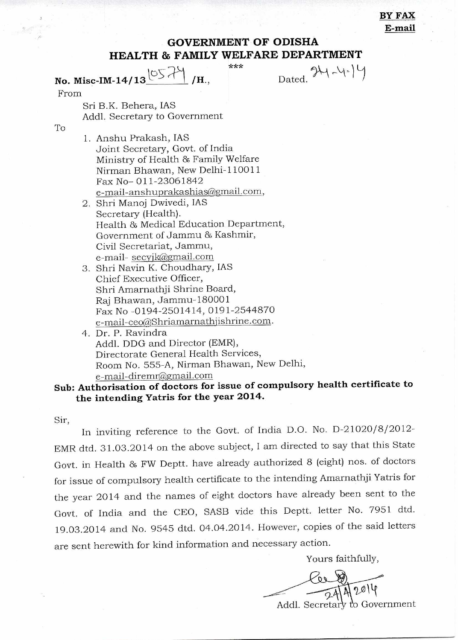BY FAX E-mail

## **GOVERNMENT OF ODISHA HEALTH & FAMILY WELFARE DEPARTMENT**

**No. Misc-IM-14/13**  $\overline{OS}$  /H.

\*\*\*

Dated.  $\mathcal{H} \rightarrow \forall^{\ast}$ 

From

Sri B.K. Behera, IAS Addl. Secretary to Government

To

- 1. Anshu Prakash, IAS Joint Secretary, Govt. of India Ministry of Health 86 Family Welfare Nirman Bhawan, New Delhi-110011 Fax No- 011-23061842 e-mail-anshuprakashias@gmail.com,
- 2. Shri Manoj Dwivedi, IAS Secretary (Health). Health 86 Medical Education Department, Government of Jammu & Kashmir, Civil Secretariat, Jammu, e-mail- secyik@gmail.com
- 3. Shri Navin K. Choudhary, IAS Chief Executive Officer, Shri Amarnathji Shrine Board, Raj Bhawan, Jammu-180001 Fax No -0194-2501414, 0191-2544870 e-mail-ceo@Shriamarnathjishrine.com.
- 4. Dr. P. Ravindra Addl. DDG and Director (EMR), Directorate General Health Services, Room No. 555-A, Nirman Bhawan, New Delhi, e-mail-diremr@grnail.corn

## **Sub: Authorisation of doctors for issue of compulsory health certificate to the intending Yatris for the year 2014.**

Sir,

In inviting reference to the Govt. of India D.O. No. D-21020/8/2012- EMR dtd. 31.03.2014 on the above subject, I am directed to say that this State Govt. in Health 86 FW Deptt. have already authorized 8 (eight) nos. of doctors for issue of compulsory health certificate to the intending Amarnathji Yatris for the year 2014 and the names of eight doctors have already been sent to the Govt. of India and the CEO, SASB vide this Deptt. letter No. 7951 dtd. 19.03.2014 and No. 9545 dtd. 04.04.2014. However, copies of the said letters are sent herewith for kind information and necessary action.

Yours faithfully,

 $7<sup>A</sup>$ Addl. Secretary to Government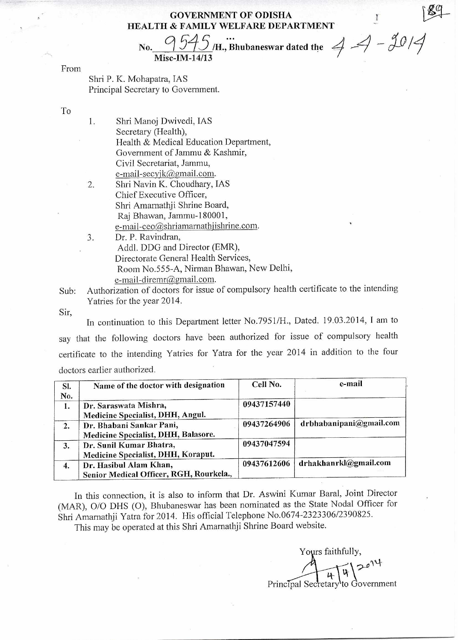## **GOVERNMENT OF ODISHA HEALTH & FAMILY WELFARE DEPARTMENT**

No.  $\frac{9545}{\text{Misc-M.14/13}}$   $\cdots$ <br>Misc. IM. 14/13 **Misc-IM-14/13** 

From

Shri P. K. Mohapatra, IAS Principal Secretary to Government.

To

1. Shri Manoj Dwivedi, IAS Secretary (Health), Health & Medical Education Department, Government of Jammu & Kashmir, Civil Secretariat, Jammu, e-mail-secyjk@gmail.com.

- 2. Shri Navin K. Choudhary, IAS Chief Executive Officer, Shri Amarnathji Shrine Board, Raj Bhawan, Jammu-180001, e-mail-ceo@shriamarnathjishrine.com.
- 3. Dr. P. Ravindran, Addl. DDG and Director (EMR), Directorate General Health Services, Room No.555-A, Nirman Bhawan, New Delhi, e-mail-diremr@gmail.com.

Sub: Authorization of doctors for issue of compulsory health certificate to the intending Yatries for the year 2014.

Sir,

In continuation to this Department letter No.7951/H., Dated. 19.03.2014, I am to say that the following doctors have been authorized for issue of compulsory health certificate to the intending Yatries for Yatra for the year 2014 in addition to the four doctors earlier authorized.

| SI.<br>No. | Name of the doctor with designation                               | Cell No.    | e-mail                  |
|------------|-------------------------------------------------------------------|-------------|-------------------------|
| 1.         | Dr. Saraswata Mishra,<br>Medicine Specialist, DHH, Angul.         | 09437157440 |                         |
| 2.         | Dr. Bhabani Sankar Pani,<br>Medicine Specialist, DHH, Balasore.   | 09437264906 | drbhabanipani@gmail.com |
| 3.         | Dr. Sunil Kumar Bhatra,<br>Medicine Specialist, DHH, Koraput.     | 09437047594 |                         |
| 4.         | Dr. Hasibul Alam Khan,<br>Senior Medical Officer, RGH, Rourkela., | 09437612606 | drhakhanrkl@gmail.com   |

**In** this connection, it is also to inform that Dr. Aswini Kumar Baral, Joint Director (MAR), 0/0 DHS (0), Bhubaneswar has been nominated as the State Nodal Officer for Shri Amamathji Yatra for 2014. His official Telephone No.0674-2323306/2390825.

This may be operated at this Shri Amamathji Shrine Board website.

Yours faithfully,  $t\geq 1.2e^{14}$ Principal Secretary to Government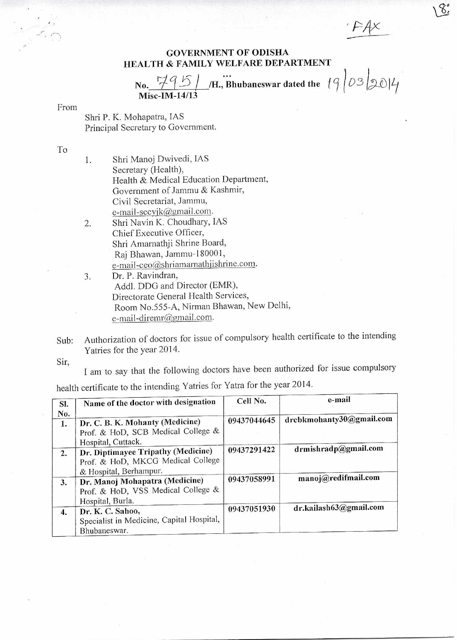## GOVERNMENT OF ODISHA HEALTH & FAMILY WELFARE DEPARTMENT

*FAX* 

δ,

No.  $\frac{795}{}$  / *H.*, Bhubaneswar dated the *19* 0 **5** Misc-IM-14/13

From

Shri P. K. Mohapatra, 1AS Principal Secretary to Government.

To

- 1. Shri Manoj Dwivedi, 1AS Secretary (Health), Health & Medical Education Department, Government of Jammu *&* Kashmir, Civil Secretariat, Jammu, e-mail-secyjk@gmail.com. 2. Shri Navin K. Choudhary, IAS
- Chief Executive Officer, Shri Amarnathji Shrine Board, Raj Bhawan, Jammu-180001, e-mail-ceo@shriamarnathjishrine.com.
- 3. Dr. P. Ravindran, Addl. DDG and Director (EMR), Directorate General Health Services, Room No.555-A, Nirman Bhawan, New Delhi, e-mail-diremr@gmail.com.
- Sub: Authorization of doctors for issue of compulsory health certificate to the intending Yatries for the year 2014.

Sir,

I am to say that the following doctors have been authorized for issue compulsory health certificate to the intending Yatries for Yatra for the year 2014.

| SI.<br>No. | Name of the doctor with designation                                                               | Cell No.    | e-mail                   |
|------------|---------------------------------------------------------------------------------------------------|-------------|--------------------------|
| 1.         | Dr. C. B. K. Mohanty (Medicine)<br>Prof. & HoD, SCB Medical College &<br>Hospital, Cuttack.       | 09437044645 | drcbkmohanty30@gmail.com |
| 2.         | Dr. Diptimayee Tripathy (Medicine)<br>Prof. & HoD, MKCG Medical College<br>& Hospital, Berhampur. | 09437291422 | drmishradp@gmail.com     |
| 3.         | Dr. Manoj Mohapatra (Medicine)<br>Prof. & HoD, VSS Medical College &<br>Hospital, Burla.          | 09437058991 | manoj@redifmail.com      |
| 4.         | Dr. K. C. Sahoo,<br>Specialist in Medicine, Capital Hospital,<br>Bhubaneswar.                     | 09437051930 | dr.kailash63@gmail.com   |